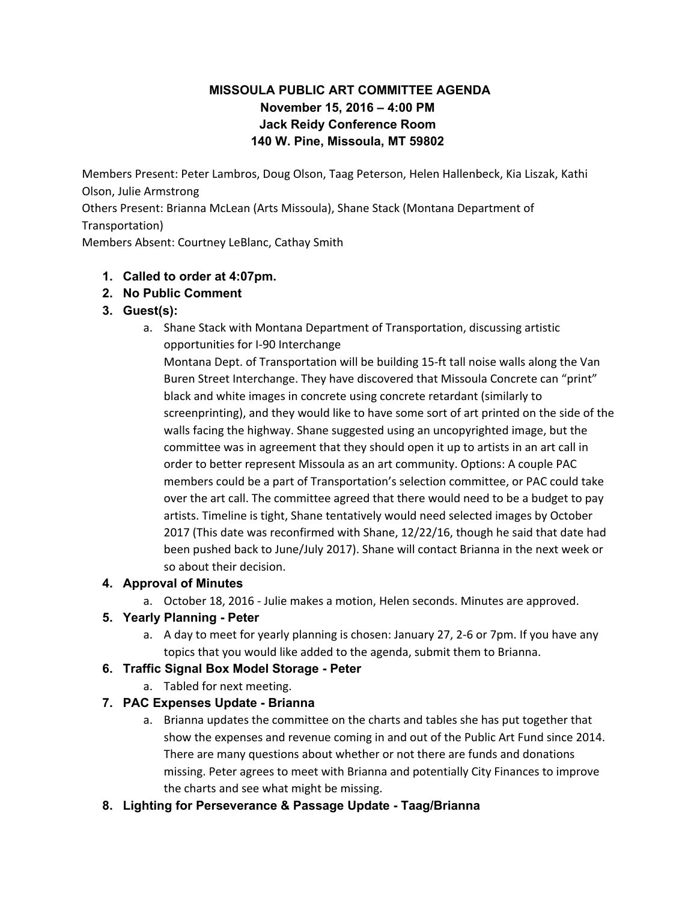# **MISSOULA PUBLIC ART COMMITTEE AGENDA November 15, 2016 – 4:00 PM Jack Reidy Conference Room 140 W. Pine, Missoula, MT 59802**

Members Present: Peter Lambros, Doug Olson, Taag Peterson, Helen Hallenbeck, Kia Liszak, Kathi Olson, Julie Armstrong Others Present: Brianna McLean (Arts Missoula), Shane Stack (Montana Department of Transportation) Members Absent: Courtney LeBlanc, Cathay Smith

## **1. Called to order at 4:07pm.**

**2. No Public Comment**

#### **3. Guest(s):**

a. Shane Stack with Montana Department of Transportation, discussing artistic opportunities for I-90 Interchange

Montana Dept. of Transportation will be building 15-ft tall noise walls along the Van Buren Street Interchange. They have discovered that Missoula Concrete can "print" black and white images in concrete using concrete retardant (similarly to screenprinting), and they would like to have some sort of art printed on the side of the walls facing the highway. Shane suggested using an uncopyrighted image, but the committee was in agreement that they should open it up to artists in an art call in order to better represent Missoula as an art community. Options: A couple PAC members could be a part of Transportation's selection committee, or PAC could take over the art call. The committee agreed that there would need to be a budget to pay artists. Timeline is tight, Shane tentatively would need selected images by October 2017 (This date was reconfirmed with Shane, 12/22/16, though he said that date had been pushed back to June/July 2017). Shane will contact Brianna in the next week or so about their decision.

## **4. Approval of Minutes**

a. October 18, 2016 - Julie makes a motion, Helen seconds. Minutes are approved.

## **5. Yearly Planning - Peter**

a. A day to meet for yearly planning is chosen: January 27, 2-6 or 7pm. If you have any topics that you would like added to the agenda, submit them to Brianna.

## **6. Traffic Signal Box Model Storage - Peter**

a. Tabled for next meeting.

## **7. PAC Expenses Update - Brianna**

- a. Brianna updates the committee on the charts and tables she has put together that show the expenses and revenue coming in and out of the Public Art Fund since 2014. There are many questions about whether or not there are funds and donations missing. Peter agrees to meet with Brianna and potentially City Finances to improve the charts and see what might be missing.
- **8. Lighting for Perseverance & Passage Update Taag/Brianna**